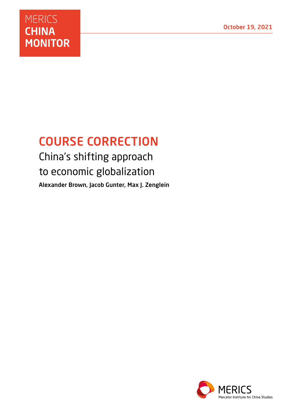# **MERICS CHINA MONITOR**

# COURSE CORRECTION

China's shifting approach to economic globalization Alexander Brown, Jacob Gunter, Max J. Zenglein

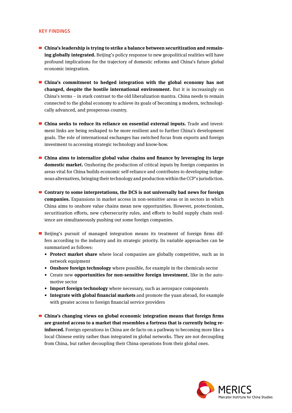#### KEY FINDINGS

- **China's leadership is trying to strike a balance between securitization and remaining globally integrated.** Beijing's policy response to new geopolitical realities will have profound implications for the trajectory of domestic reforms and China's future global economic integration.
- **China's commitment to hedged integration with the global economy has not changed, despite the hostile international environment.** But it is increasingly on China's terms – in stark contrast to the old liberalization mantra. China needs to remain connected to the global economy to achieve its goals of becoming a modern, technologically advanced, and prosperous country.
- **China seeks to reduce its reliance on essential external inputs.** Trade and investment links are being reshaped to be more resilient and to further China's development goals. The role of international exchanges has switched focus from exports and foreign investment to accessing strategic technology and know-how.
- **China aims to internalize global value chains and finance by leveraging its large domestic market.** Onshoring the production of critical inputs by foreign companies in areas vital for China builds economic self-reliance and contributes to developing indigenous alternatives, bringing their technology and production within the CCP's jurisdiction.
- **Contrary to some interpretations, the DCS is not universally bad news for foreign companies.** Expansions in market access in non-sensitive areas or in sectors in which China aims to onshore value chains mean new opportunities. However, protectionism, securitization efforts, new cybersecurity rules, and efforts to build supply chain resilience are simultaneously pushing out some foreign companies.
- Beijing's pursuit of managed integration means its treatment of foreign firms differs according to the industry and its strategic priority. Its variable approaches can be summarized as follows:
	- **• Protect market share** where local companies are globally competitive, such as in network equipment
	- **• Onshore foreign technology** where possible, for example in the chemicals sector
	- Create new **opportunities for non-sensitive foreign investment**, like in the automotive sector
	- **• Import foreign technology** where necessary, such as aerospace components
	- **• Integrate with global financial markets** and promote the yuan abroad, for example with greater access to foreign financial service providers
- **China's changing views on global economic integration means that foreign firms are granted access to a market that resembles a fortress that is currently being reinforced.** Foreign operations in China are de facto on a pathway to becoming more like a local Chinese entity rather than integrated in global networks. They are not decoupling from China, but rather decoupling their China operations from their global ones.

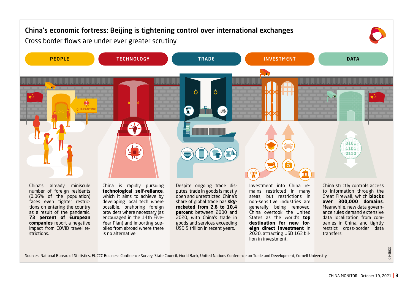

Sources: National Bureau of Statistics, EUCCC Business Confidence Survey, State Council, World Bank, United Nations Conference on Trade and Development, Cornell University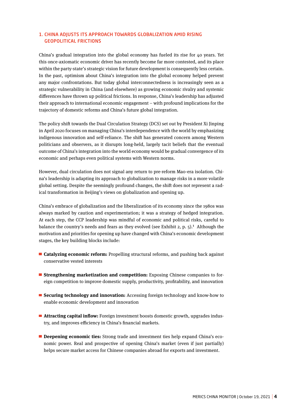# 1. CHINA ADJUSTS ITS APPROACH TOWARDS GLOBALIZATION AMID RISING GEOPOLITICAL FRICTIONS

China's gradual integration into the global economy has fueled its rise for 40 years. Yet this once-axiomatic economic driver has recently become far more contested, and its place within the party-state's strategic vision for future development is consequently less certain. In the past, optimism about China's integration into the global economy helped prevent any major confrontations. But today global interconnectedness is increasingly seen as a strategic vulnerability in China (and elsewhere) as growing economic rivalry and systemic differences have thrown up political frictions. In response, China's leadership has adjusted their approach to international economic engagement – with profound implications for the trajectory of domestic reforms and China's future global integration.

The policy shift towards the Dual Circulation Strategy (DCS) set out by President Xi Jinping in April 2020 focuses on managing China's interdependence with the world by emphasizing indigenous innovation and self-reliance. The shift has generated concern among Western politicians and observers, as it disrupts long-held, largely tacit beliefs that the eventual outcome of China's integration into the world economy would be gradual convergence of its economic and perhaps even political systems with Western norms.

However, dual circulation does not signal any return to pre-reform Mao-era isolation. China's leadership is adapting its approach to globalization to manage risks in a more volatile global setting. Despite the seemingly profound changes, the shift does not represent a radical transformation in Beijing's views on globalization and opening up.

China's embrace of globalization and the liberalization of its economy since the 1980s was always marked by caution and experimentation; it was a strategy of hedged integration. At each step, the CCP leadership was mindful of economic and political risks, careful to balance the country's needs and fears as they evolved (see Exhibit 2, p. 5).**<sup>1</sup>** Although the motivation and priorities for opening up have changed with China's economic development stages, the key building blocks include:

- **Catalyzing economic reform:** Propelling structural reforms, and pushing back against conservative vested interests
- **Strengthening marketization and competition:** Exposing Chinese companies to foreign competition to improve domestic supply, productivity, profitability, and innovation
- **Securing technology and innovation:** Accessing foreign technology and know-how to enable economic development and innovation
- **Attracting capital inflow:** Foreign investment boosts domestic growth, upgrades industry, and improves efficiency in China's financial markets.
- **Deepening economic ties:** Strong trade and investment ties help expand China's economic power. Real and prospective of opening China's market (even if just partially) helps secure market access for Chinese companies abroad for exports and investment.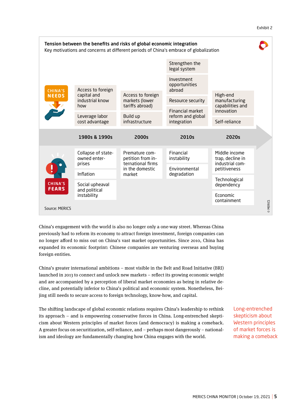#### Exhibit 2



China's engagement with the world is also no longer only a one-way street. Whereas China previously had to reform its economy to attract foreign investment, foreign companies can no longer afford to miss out on China's vast market opportunities. Since 2010, China has expanded its economic footprint: Chinese companies are venturing overseas and buying foreign entities.

China's greater international ambitions – most visible in the Belt and Road Initiative (BRI) launched in 2013 to connect and unlock new markets – reflect its growing economic weight and are accompanied by a perception of liberal market economies as being in relative decline, and potentially inferior to China's political and economic system. Nonetheless, Beijing still needs to secure access to foreign technology, know-how, and capital.

The shifting landscape of global economic relations requires China's leadership to rethink its approach – and is empowering conservative forces in China. Long-entrenched skepticism about Western principles of market forces (and democracy) is making a comeback. A greater focus on securitization, self-reliance, and – perhaps most dangerously – nationalism and ideology are fundamentally changing how China engages with the world.

Long-entrenched skepticism about Western principles of market forces is making a comeback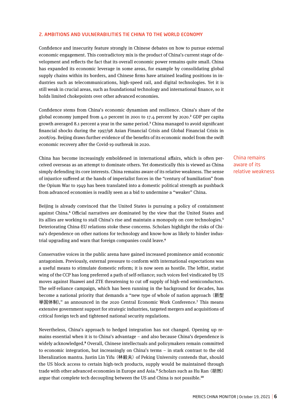#### 2. AMBITIONS AND VULNERABILITIES TIE CHINA TO THE WORLD ECONOMY

Confidence and insecurity feature strongly in Chinese debates on how to pursue external economic engagement. This contradictory mix is the product of China's current stage of development and reflects the fact that its overall economic power remains quite small. China has expanded its economic leverage in some areas, for example by consolidating global supply chains within its borders, and Chinese firms have attained leading positions in industries such as telecommunications, high-speed rail, and digital technologies. Yet it is still weak in crucial areas, such as foundational technology and international finance, so it holds limited chokepoints over other advanced economies.

Confidence stems from China's economic dynamism and resilience. China's share of the global economy jumped from 4.0 percent in 2001 to 17.4 percent by 2020.**<sup>2</sup>** GDP per capita growth averaged 8.1 percent a year in the same period.**<sup>3</sup>** China managed to avoid significant financial shocks during the 1997/98 Asian Financial Crisis and Global Financial Crisis in 2008/09. Beijing draws further evidence of the benefits of its economic model from the swift economic recovery after the Covid-19 outbreak in 2020.

China has become increasingly emboldened in international affairs, which is often perceived overseas as an attempt to dominate others. Yet domestically this is viewed as China simply defending its core interests. China remains aware of its relative weakness. The sense of injustice suffered at the hands of imperialist forces in the "century of humiliation" from the Opium War to 1949 has been translated into a domestic political strength as pushback from advanced economies is readily seen as a bid to undermine a "weaker" China.

Beijing is already convinced that the United States is pursuing a policy of containment against China.**<sup>4</sup>** Official narratives are dominated by the view that the United States and its allies are working to stall China's rise and maintain a monopoly on core technologies.**<sup>5</sup>** Deteriorating China-EU relations stoke these concerns. Scholars highlight the risks of China's dependence on other nations for technology and know-how as likely to hinder industrial upgrading and warn that foreign companies could leave.**<sup>6</sup>**

Conservative voices in the public arena have gained increased prominence amid economic antagonism. Previously, external pressure to conform with international expectations was a useful means to stimulate domestic reform; it is now seen as hostile. The leftist, statist wing of the CCP has long preferred a path of self-reliance; such voices feel vindicated by US moves against Huawei and ZTE threatening to cut off supply of high-end semiconductors. The self-reliance campaign, which has been running in the background for decades, has become a national priority that demands a "new type of whole of nation approach (新型 举国体制)," as announced in the 2020 Central Economic Work Conference.**<sup>7</sup>** This means extensive government support for strategic industries, targeted mergers and acquisitions of critical foreign tech and tightened national security regulations.

Nevertheless, China's approach to hedged integration has not changed. Opening up remains essential when it is to China's advantage – and also because China's dependence is widely acknowledged.**<sup>8</sup>** Overall, Chinese intellectuals and policymakers remain committed to economic integration, but increasingly on China's terms – in stark contrast to the old liberalization mantra. Justin Lin Yifu (林毅夫) of Peking University contends that, should the US block access to certain high-tech products, supply would be maintained through trade with other advanced economies in Europe and Asia.**<sup>9</sup>** Scholars such as Hu Ran (胡然) argue that complete tech decoupling between the US and China is not possible.**<sup>10</sup>**

China remains aware of its relative weakness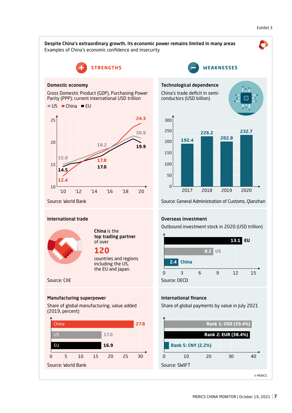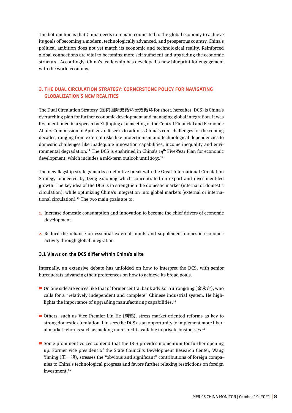The bottom line is that China needs to remain connected to the global economy to achieve its goals of becoming a modern, technologically advanced, and prosperous country. China's political ambition does not yet match its economic and technological reality. Reinforced global connections are vital to becoming more self-sufficient and upgrading the economic structure. Accordingly, China's leadership has developed a new blueprint for engagement with the world economy.

# 3. THE DUAL CIRCULATION STRATEGY: CORNERSTONE POLICY FOR NAVIGATING GLOBALIZATION'S NEW REALITIES

The Dual Circulation Strategy (国内国际双循环 or双循环 for short, hereafter: DCS) is China's overarching plan for further economic development and managing global integration. It was first mentioned in a speech by Xi Jinping at a meeting of the Central Financial and Economic Affairs Commission in April 2020. It seeks to address China's core challenges for the coming decades, ranging from external risks like protectionism and technological dependencies to domestic challenges like inadequate innovation capabilities, income inequality and environmental degradation.**<sup>11</sup>** The DCS is enshrined in China's 14**th** Five-Year Plan for economic development, which includes a mid-term outlook until 2035.**<sup>12</sup>**

The new flagship strategy marks a definitive break with the Great International Circulation Strategy pioneered by Deng Xiaoping which concentrated on export and investment-led growth. The key idea of the DCS is to strengthen the domestic market (internal or domestic circulation), while optimizing China's integration into global markets (external or international circulation).**<sup>13</sup>** The two main goals are to:

- **1.** Increase domestic consumption and innovation to become the chief drivers of economic development
- **2.** Reduce the reliance on essential external inputs and supplement domestic economic activity through global integration

# 3.1 Views on the DCS differ within China's elite

Internally, an extensive debate has unfolded on how to interpret the DCS, with senior bureaucrats advancing their preferences on how to achieve its broad goals.

- On one side are voices like that of former central bank advisor Yu Yongding (余永定), who calls for a "relatively independent and complete" Chinese industrial system. He highlights the importance of upgrading manufacturing capabilities.**<sup>14</sup>**
- Others, such as Vice Premier Liu He (刘鹤), stress market-oriented reforms as key to strong domestic circulation. Liu sees the DCS as an opportunity to implement more liberal market reforms such as making more credit available to private businesses.**<sup>15</sup>**
- Some prominent voices contend that the DCS provides momentum for further opening up. Former vice president of the State Council's Development Research Center, Wang Yiming (王一鸣), stresses the "obvious and significant" contributions of foreign companies to China's technological progress and favors further relaxing restrictions on foreign investment.**16**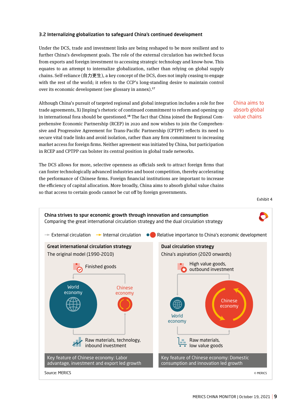# 3.2 Internalizing globalization to safeguard China's continued development

Under the DCS, trade and investment links are being reshaped to be more resilient and to further China's development goals. The role of the external circulation has switched focus from exports and foreign investment to accessing strategic technology and know-how. This equates to an attempt to internalize globalization, rather than relying on global supply chains. Self-reliance (自力更生), a key concept of the DCS, does not imply ceasing to engage with the rest of the world; it refers to the CCP's long-standing desire to maintain control over its economic development (see glossary in annex).**<sup>17</sup>**

Although China's pursuit of targeted regional and global integration includes a role for free trade agreements, Xi Jinping's rhetoric of continued commitment to reform and opening up in international fora should be questioned.**18** The fact that China joined the Regional Comprehensive Economic Partnership (RCEP) in 2020 and now wishes to join the Comprehensive and Progressive Agreement for Trans-Pacific Partnership (CPTPP) reflects its need to secure vital trade links and avoid isolation, rather than any firm commitment to increasing market access for foreign firms. Neither agreement was initiated by China, but participation in RCEP and CPTPP can bolster its central position in global trade networks.

China aims to absorb global value chains

can foster technologically advanced industries and boost competition, thereby accelerating the performance of Chinese firms. Foreign financial institutions are important to increase the efficiency of capital allocation. More broadly, China aims to absorb global value chains so that access to certain goods cannot be cut off by foreign governments.

The DCS allows for more, selective openness as officials seek to attract foreign firms that



Exhibit 4

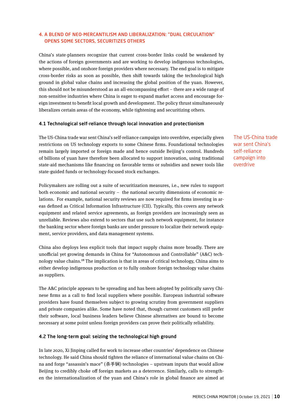# 4. A BLEND OF NEO-MERCANTILISM AND LIBERALIZATION: "DUAL CIRCULATION" OPENS SOME SECTORS, SECURITIZES OTHERS

China's state-planners recognize that current cross-border links could be weakened by the actions of foreign governments and are working to develop indigenous technologies, where possible, and onshore foreign providers where necessary. The end goal is to mitigate cross-border risks as soon as possible, then shift towards taking the technological high ground in global value chains and increasing the global position of the yuan. However, this should not be misunderstood as an all-encompassing effort – there are a wide range of non-sensitive industries where China is eager to expand market access and encourage foreign investment to benefit local growth and development. The policy thrust simultaneously liberalizes certain areas of the economy, while tightening and securitizing others.

# 4.1 Technological self-reliance through local innovation and protectionism

The US-China trade war sent China's self-reliance campaign into overdrive, especially given restrictions on US technology exports to some Chinese firms. Foundational technologies remain largely imported or foreign made and hence outside Beijing's control. Hundreds of billions of yuan have therefore been allocated to support innovation, using traditional state-aid mechanisms like financing on favorable terms or subsidies and newer tools like state-guided funds or technology-focused stock exchanges.

Policymakers are rolling out a suite of securitization measures, i.e., new rules to support both economic and national security – the national security dimensions of economic relations. For example, national security reviews are now required for firms investing in areas defined as Critical Information Infrastructure (CII). Typically, this covers any network equipment and related service agreements, as foreign providers are increasingly seen as unreliable. Reviews also extend to sectors that use such network equipment, for instance the banking sector where foreign banks are under pressure to localize their network equipment, service providers, and data management systems.

China also deploys less explicit tools that impact supply chains more broadly. There are unofficial yet growing demands in China for "Autonomous and Controllable" (A&C) technology value chains.**<sup>19</sup>** The implication is that in areas of critical technology, China aims to either develop indigenous production or to fully onshore foreign technology value chains as suppliers.

The A&C principle appears to be spreading and has been adopted by politically savvy Chinese firms as a call to find local suppliers where possible. European industrial software providers have found themselves subject to growing scrutiny from government suppliers and private companies alike. Some have noted that, though current customers still prefer their software, local business leaders believe Chinese alternatives are bound to become necessary at some point unless foreign providers can prove their politically reliability.

# 4.2 The long-term goal: seizing the technological high ground

In late 2020, Xi Jinping called for work to increase other countries' dependence on Chinese technology. He said China should tighten the reliance of international value chains on China and forge "assassin's mace" (杀手锏) technologies – upstream inputs that would allow Beijing to credibly choke off foreign markets as a deterrence. Similarly, calls to strengthen the internationalization of the yuan and China's role in global finance are aimed at The US-China trade war sent China's self-reliance campaign into overdrive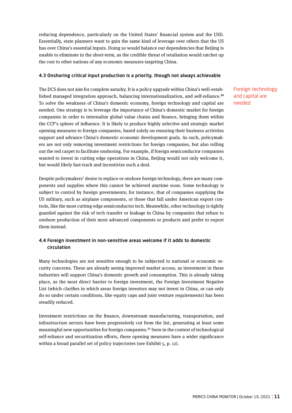reducing dependence, particularly on the United States' financial system and the USD. Essentially, state planners want to gain the same kind of leverage over others that the US has over China's essential inputs. Doing so would balance out dependencies that Beijing is unable to eliminate in the short-term, as the credible threat of retaliation would ratchet up the cost to other nations of any economic measures targeting China.

# 4.3 Onshoring critical input production is a priority, though not always achievable

The DCS does not aim for complete autarky. It is a policy upgrade within China's well-established managed integration approach, balancing internationalization, and self-reliance.**<sup>20</sup>** To solve the weakness of China's domestic economy, foreign technology and capital are needed. One strategy is to leverage the importance of China's domestic market for foreign companies in order to internalize global value chains and finance, bringing them within the CCP's sphere of influence. It is likely to produce highly selective and strategic market opening measures to foreign companies, based solely on ensuring their business activities support and advance China's domestic economic development goals. As such, policymakers are not only removing investment restrictions for foreign companies, but also rolling out the red carpet to facilitate onshoring. For example, if foreign semiconductor companies wanted to invest in cutting edge operations in China, Beijing would not only welcome it, but would likely fast-track and incentivize such a deal.

Despite policymakers' desire to replace or onshore foreign technology, there are many components and supplies where this cannot be achieved anytime soon. Some technology is subject to control by foreign governments; for instance, that of companies supplying the US military, such as airplane components, or those that fall under American export controls, like the most cutting-edge semiconductor tech. Meanwhile, other technology is tightly guarded against the risk of tech transfer or leakage in China by companies that refuse to onshore production of their most advanced components or products and prefer to export them instead.

# 4.4 Foreign investment in non-sensitive areas welcome if it adds to domestic circulation

Many technologies are not sensitive enough to be subjected to national or economic security concerns. These are already seeing improved market access, as investment in these industries will support China's domestic growth and consumption. This is already taking place, as the most direct barrier to foreign investment, the Foreign Investment Negative List (which clarifies in which areas foreign investors may not invest in China, or can only do so under certain conditions, like equity caps and joint venture requirements) has been steadily reduced.

Investment restrictions on the finance, downstream manufacturing, transportation, and infrastructure sectors have been progressively cut from the list, generating at least some meaningful new opportunities for foreign companies.**<sup>21</sup>** Seen in the context of technological self-reliance and securitization efforts, these opening measures have a wider significance within a broad parallel set of policy trajectories (see Exhibit 5, p. 12).

Foreign technology and capital are needed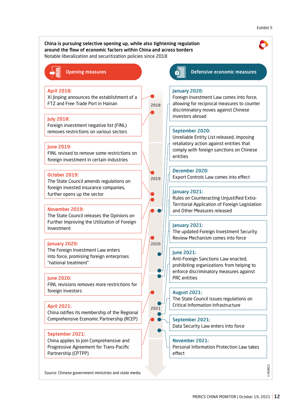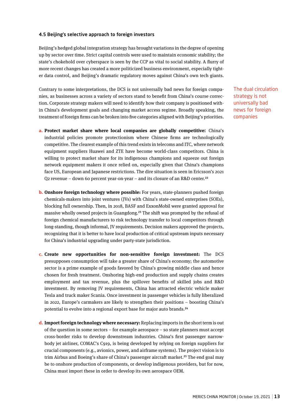# 4.5 Beijing's selective approach to foreign investors

Beijing's hedged global integration strategy has brought variations in the degree of opening up by sector over time. Strict capital controls were used to maintain economic stability; the state's chokehold over cyberspace is seen by the CCP as vital to social stability. A flurry of more recent changes has created a more politicized business environment, especially tighter data control, and Beijing's dramatic regulatory moves against China's own tech giants.

Contrary to some interpretations, the DCS is not universally bad news for foreign companies, as businesses across a variety of sectors stand to benefit from China's course correction. Corporate strategy makers will need to identify how their company is positioned within China's development goals and changing market access regime. Broadly speaking, the treatment of foreign firms can be broken into five categories aligned with Beijing's priorities.

- **a. Protect market share where local companies are globally competitive:** China's industrial policies promote protectionism where Chinese firms are technologically competitive. The clearest example of this trend exists in telecoms and ITC, where network equipment suppliers Huawei and ZTE have become world-class competitors. China is willing to protect market share for its indigenous champions and squeeze out foreign network equipment makers it once relied on, especially given that China's champions face US, European and Japanese restrictions. The dire situation is seen in Ericsson's 2021 Q2 revenue – down 60 percent year-on-year – and its closure of an R&D center.**<sup>22</sup>**
- **b. Onshore foreign technology where possible:** For years, state-planners pushed foreign chemicals-makers into joint ventures (JVs) with China's state-owned enterprises (SOEs), blocking full ownership. Then, in 2018, BASF and ExxonMobil were granted approval for massive wholly owned projects in Guangdong.**<sup>23</sup>** The shift was prompted by the refusal of foreign chemical manufacturers to risk technology transfer to local competitors through long-standing, though informal, JV requirements. Decision makers approved the projects, recognizing that it is better to have local production of critical upstream inputs necessary for China's industrial upgrading under party-state jurisdiction.
- **c. Create new opportunities for non-sensitive foreign investment:** The DCS presupposes consumption will take a greater share of China's economy; the automotive sector is a prime example of goods favored by China's growing middle class and hence chosen for fresh treatment. Onshoring high-end production and supply chains creates employment and tax revenue, plus the spillover benefits of skilled jobs and R&D investment. By removing JV requirements, China has attracted electric vehicle maker Tesla and truck maker Scania. Once investment in passenger vehicles is fully liberalized in 2022, Europe's carmakers are likely to strengthen their positions – boosting China's potential to evolve into a regional export base for major auto brands.**<sup>24</sup>**
- **d. Import foreign technology where necessary:** Replacing imports in the short term is out of the question in some sectors – for example aerospace – so state planners must accept cross-border risks to develop downstream industries. China's first passenger narrowbody jet airliner, COMAC's C919, is being developed by relying on foreign suppliers for crucial components (e.g., avionics, power, and airframe systems). The project vision is to trim Airbus and Boeing's share of China's passenger aircraft market.**<sup>25</sup>** The end goal may be to onshore production of components, or develop indigenous providers, but for now, China must import these in order to develop its own aerospace OEM.

The dual circulation strategy is not universally bad news for foreign companies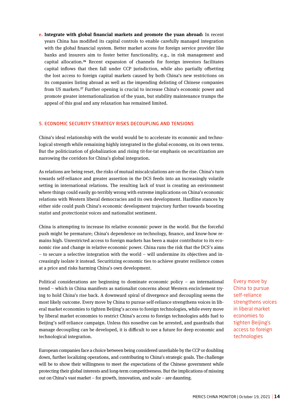**e. Integrate with global financial markets and promote the yuan abroad:** In recent years China has modified its capital controls to enable carefully managed integration with the global financial system. Better market access for foreign service provider like banks and insurers aim to foster better functionality, e.g., in risk management and capital allocation.**<sup>26</sup>** Recent expansion of channels for foreign investors facilitates capital inflows that then fall under CCP jurisdiction, while also partially offsetting the lost access to foreign capital markets caused by both China's new restrictions on its companies listing abroad as well as the impending delisting of Chinese companies from US markets.**<sup>27</sup>** Further opening is crucial to increase China's economic power and promote greater internationalization of the yuan, but stability maintenance trumps the appeal of this goal and any relaxation has remained limited.

# 5. ECONOMIC SECURITY STRATEGY RISKS DECOUPLING AND TENSIONS

China's ideal relationship with the world would be to accelerate its economic and technological strength while remaining highly integrated in the global economy, on its own terms. But the politicization of globalization and rising tit-for-tat emphasis on securitization are narrowing the corridors for China's global integration.

As relations are being reset, the risks of mutual miscalculations are on the rise. China's turn towards self-reliance and greater assertion in the DCS feeds into an increasingly volatile setting in international relations. The resulting lack of trust is creating an environment where things could easily go terribly wrong with extreme implications on China's economic relations with Western liberal democracies and its own development. Hardline stances by either side could push China's economic development trajectory further towards boosting statist and protectionist voices and nationalist sentiment.

China is attempting to increase its relative economic power in the world. But the forceful push might be premature; China's dependence on technology, finance, and know-how remains high. Unrestricted access to foreign markets has been a major contributor to its economic rise and change in relative economic power. China runs the risk that the DCS's aims – to secure a selective integration with the world – will undermine its objectives and increasingly isolate it instead. Securitizing economic ties to achieve greater resilience comes at a price and risks harming China's own development.

Political considerations are beginning to dominate economic policy – an international trend – which in China manifests as nationalist concerns about Western encirclement trying to hold China's rise back. A downward spiral of divergence and decoupling seems the most likely outcome. Every move by China to pursue self-reliance strengthens voices in liberal market economies to tighten Beijing's access to foreign technologies, while every move by liberal market economies to restrict China's access to foreign technologies adds fuel to Beijing's self-reliance campaign. Unless this nosedive can be arrested, and guardrails that manage decoupling can be developed, it is difficult to see a future for deep economic and technological integration.

European companies face a choice between being considered unreliable by the CCP or doubling down, further localizing operations, and contributing to China's strategic goals. The challenge will be to show their willingness to meet the expectations of the Chinese government while protecting their global interests and long-term competitiveness. But the implications of missing out on China's vast market – for growth, innovation, and scale – are daunting.

Every move by China to pursue self-reliance strengthens voices in liberal market economies to tighten Beijing's access to foreign technologies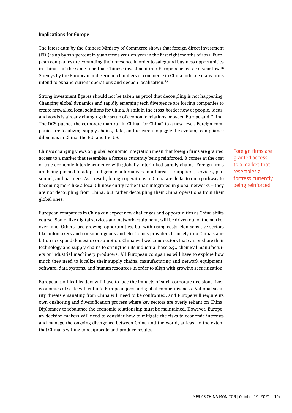# Implications for Europe

The latest data by the Chinese Ministry of Commerce shows that foreign direct investment (FDI) is up by 22.3 percent in yuan terms year-on-year in the first eight months of 2021. European companies are expanding their presence in order to safeguard business opportunities in China – at the same time that Chinese investment into Europe reached a 10-year low.**<sup>28</sup>** Surveys by the European and German chambers of commerce in China indicate many firms intend to expand current operations and deepen localization.**<sup>29</sup>**

Strong investment figures should not be taken as proof that decoupling is not happening. Changing global dynamics and rapidly emerging tech divergence are forcing companies to create firewalled local solutions for China. A shift in the cross-border flow of people, ideas, and goods is already changing the setup of economic relations between Europe and China. The DCS pushes the corporate mantra "in China, for China" to a new level. Foreign companies are localizing supply chains, data, and research to juggle the evolving compliance dilemmas in China, the EU, and the US.

China's changing views on global economic integration mean that foreign firms are granted access to a market that resembles a fortress currently being reinforced. It comes at the cost of true economic interdependence with globally interlinked supply chains. Foreign firms are being pushed to adopt indigenous alternatives in all areas – suppliers, services, personnel, and partners. As a result, foreign operations in China are de facto on a pathway to becoming more like a local Chinese entity rather than integrated in global networks – they are not decoupling from China, but rather decoupling their China operations from their global ones.

European companies in China can expect new challenges and opportunities as China shifts course. Some, like digital services and network equipment, will be driven out of the market over time. Others face growing opportunities, but with rising costs. Non-sensitive sectors like automakers and consumer goods and electronics providers fit nicely into China's ambition to expand domestic consumption. China will welcome sectors that can onshore their technology and supply chains to strengthen its industrial base e.g., chemical manufacturers or industrial machinery producers. All European companies will have to explore how much they need to localize their supply chains, manufacturing and network equipment, software, data systems, and human resources in order to align with growing securitization.

European political leaders will have to face the impacts of such corporate decisions. Lost economies of scale will cut into European jobs and global competitiveness. National security threats emanating from China will need to be confronted, and Europe will require its own onshoring and diversification process where key sectors are overly reliant on China. Diplomacy to rebalance the economic relationship must be maintained. However, European decision-makers will need to consider how to mitigate the risks to economic interests and manage the ongoing divergence between China and the world, at least to the extent that China is willing to reciprocate and produce results.

Foreign firms are granted access to a market that resembles a fortress currently being reinforced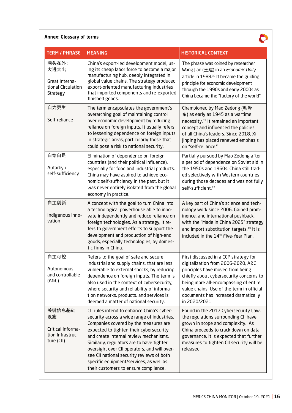# Annex: Glossary of terms

 $\bullet$ 

| <b>TERM / PHRASE</b>                                                     | <b>MEANING</b>                                                                                                                                                                                                                                                                                                                                                                                                                                        | <b>HISTORICAL CONTEXT</b>                                                                                                                                                                                                                                                                                 |
|--------------------------------------------------------------------------|-------------------------------------------------------------------------------------------------------------------------------------------------------------------------------------------------------------------------------------------------------------------------------------------------------------------------------------------------------------------------------------------------------------------------------------------------------|-----------------------------------------------------------------------------------------------------------------------------------------------------------------------------------------------------------------------------------------------------------------------------------------------------------|
| 两头在外;<br>大进大出<br>Great Interna-<br>tional Circulation<br><b>Strategy</b> | China's export-led development model, us-<br>ing its cheap labor force to become a major<br>manufacturing hub, deeply integrated in<br>global value chains. The strategy produced<br>export-oriented manufacturing industries<br>that imported components and re-exported<br>finished goods.                                                                                                                                                          | The phrase was coined by researcher<br>Wang Jian (王建) in an Economic Daily<br>article in 1988. <sup>30</sup> It became the guiding<br>principle for economic development<br>through the 1990s and early 2000s as<br>China became the "factory of the world".                                              |
| 自力更生<br>Self-reliance                                                    | The term encapsulates the government's<br>overarching goal of maintaining control<br>over economic development by reducing<br>reliance on foreign inputs. It usually refers<br>to lessening dependence on foreign inputs<br>in strategic areas, particularly those that<br>could pose a risk to national security.                                                                                                                                    | Championed by Mao Zedong (毛泽<br>东) as early as 1945 as a wartime<br>necessity. <sup>31</sup> It remained an important<br>concept and influenced the policies<br>of all China's leaders. Since 2018, Xi<br>Jinping has placed renewed emphasis<br>on "self-reliance."                                      |
| 自给自足<br>Autarky /<br>self-sufficiency                                    | Elimination of dependence on foreign<br>countries (and their political influence),<br>especially for food and industrial products.<br>China may have aspired to achieve eco-<br>nomic self-sufficiency in the past, but it<br>was never entirely isolated from the global<br>economy in practice.                                                                                                                                                     | Partially pursued by Mao Zedong after<br>a period of dependence on Soviet aid in<br>the 1950s and 1960s. China still trad-<br>ed selectively with Western countries<br>during those decades and was not fully<br>self-sufficient. <sup>32</sup>                                                           |
| 自主创新<br>Indigenous inno-<br>vation                                       | A concept with the goal to turn China into<br>a technological powerhouse able to inno-<br>vate independently and reduce reliance on<br>foreign technologies. As a strategy, it re-<br>fers to government efforts to support the<br>development and production of high-end<br>goods, especially technologies, by domes-<br>tic firms in China.                                                                                                         | A key part of China's science and tech-<br>nology work since 2006. Gained prom-<br>inence, and international pushback,<br>with the "Made in China 2025" strategy<br>and import substitution targets. <sup>33</sup> It is<br>included in the 14 <sup>th</sup> Five-Year Plan.                              |
| 自主可控<br>Autonomous<br>and controllable<br>(ABC)                          | Refers to the goal of safe and secure<br>industrial and supply chains, that are less<br>vulnerable to external shocks, by reducing<br>dependence on foreign inputs. The term is<br>also used in the context of cybersecurity,<br>where security and reliability of informa-<br>tion networks, products, and services is<br>deemed a matter of national security.                                                                                      | First discussed in a CCP strategy for<br>digitalization from 2006-2020, A&C<br>principles have moved from being<br>chiefly about cybersecurity concerns to<br>being more all-encompassing of entire<br>value chains. Use of the term in official<br>documents has increased dramatically<br>in 2020/2021. |
| 关键信息基础<br>设施<br>Critical Informa-<br>tion Infrastruc-<br>ture (CII)      | CII rules intend to enhance China's cyber-<br>security across a wide range of industries.<br>Companies covered by the measures are<br>expected to tighten their cybersecurity<br>and create internal review mechanisms.<br>Similarly, regulators are to have tighter<br>oversight over CII operators, and will over-<br>see CII national security reviews of both<br>specific equipment/services, as well as<br>their customers to ensure compliance. | Found in the 2017 Cybersecurity Law,<br>the regulations surrounding CII have<br>grown in scope and complexity. As<br>China proceeds to crack down on data<br>governance, it is expected that further<br>measures to tighten CII security will be<br>released.                                             |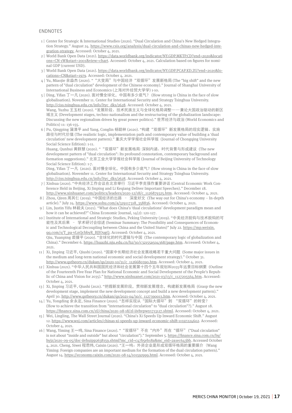#### **ENDNOTES**

- 1 | Center for Strategic & International Studies (2020). "Dual Circulation and China's New Hedged Integration Strategy." August 24. https://www.csis.org/analysis/dual-circulation-and-chinas-new-hedged-integration-strategy. Accessed: October 4, 2021.
- 2 | World Bank Open Data (2021). https://data.worldbank.org/indicator/NY.GDP.MKTP.CD?end=2020&locati ons=CN-1W&start=2001&view=chart. Accessed: October 4, 2021. Calculation based on figures for nominal GDP (current USD).
- 3 | World Bank Open Data (2021). https://data.worldbank.org/indicator/NY.GDP.PCAP.KD.ZG?end=2020&locations=CN&start=1979. Accessed: October 4, 2021.
- 4 | Yu, Miaojie 余淼杰 (2020). ""大变局"与中国经济"双循环"发展新格局 (The "big shift" and the new pattern of "dual circulation" development of the Chinese economy)." Journal of Shanghai University of International Business and Economics (上海对外经贸大学学) 1-10.
- 5 | Ding, Yifan 丁一凡 (2020). 面对慢全球化, 中国有多少底气? (How strong is China in the face of slow globalisation). November 11. Center for International Security and Strategy Tsinghua University. http://ciss.tsinghua.edu.cn/info/ltyc\_dks/2628. Accessed: October 4, 2021. Wang, Yuzhu 王玉柱 (2020). "发展阶段、技术民族主义与全球化格局调整——兼论大国政治驱动的新区 域主义 (Development stages, techno-nationalism and the restructuring of the globalization landscape: Discussing the new regionalism driven by great power politics)." 世界经济与政治 (World Economics and Politics) 11: 136-155.
- 6 | Pu, Qingping 蒲清平 and Yang, Conglin 杨聪林 (2020). "构建"双循环"新发展格局的现实逻辑、实施 路径与时代价值 (The realistic logic, implementation path and contemporary value of building a 'dual circulation' new development pattern)." 重庆大学学报社会科学版 (Journal of Chongqing University Social Science Edition): 1-11.

Huang, Qunhui 黄群慧 (2020). ""双循环"新发展格局:深刻内涵、时代背景与形成建议 (The new development pattern of "dual circulation": Its profound connotation, contemporary background and formation suggestions)." 北京工业大学学报社会科学版 (Journal of Beijing University of Technology Social Science Edition): 1-7.

Ding, Yifan 丁一凡 (2020). 面对慢全球化,中国有多少底气? (How strong is China in the face of slow globalisation). November 11. Center for International Security and Strategy Tsinghua University. http://ciss.tsinghua.edu.cn/info/ltyc\_dks/2628. Accessed: October 4, 2021.

- 7 | Xinhua (2020). "中央经济工作会议在北京举行 习近平李克强作重要讲话 (Central Economic Work Conference Held in Beijing, Xi Jinping and Li Keqiang Deliver Important Speeches)." December 18. http://www.xinhuanet.com/politics/leaders/2020-12/18/c\_1126879325.htm. Accessed: October 4, 2021.
- 8 | Zhou, Qiren 周其仁 (2019). "中国经济的出路 深度好文 (The way out for China's economy In-depth article)." July 24. https://www.sohu.com/a/329117318\_358836. Accessed: October 4, 2021.
- 9 | Lin, Justin Yifu 林毅夫 (2021). "What does China's 'dual circulations' development paradigm mean and how it can be achieved?" China Economic Journal, 14(2): 120-127.
- 10 | Institute of International and Strategic Studies, Peking University (2019). "中美经济脱钩与技术脱钩的可 能性及其后果 – 学术研讨会综述 (Seminar Summary: The Possibility and Consequences of Economic and Technological Decoupling between China and the United States)" July 22. https://mp.weixin. qq.com/s/T\_pa-vLnQcbbyR\_BJJOugQ. Accessed: October 4, 2021. Qiu, Yuanping 裘援平 (2020). "全球化的时代逻辑与中国 (The contemporary logic of globalization and China)." December 6. https://huazhi.nju.edu.cn/b2/30/c32155a504368/page.htm. Accessed: October 4, 2021.
- 11 | Xi, Jinping 习近平, Qiushi (2020). "国家中长期经济社会发展战略若干重大问题 (Some major issues in the medium and long-term national economic and social development strategy)." October 31. http://www.qstheory.cn/dukan/qs/2020-10/31/c\_1126680390.htm. Accessed: October 4, 2021.
- 12 | Xinhua (2021). "中华人民共和国国民经济和社会发展第十四个五年规划和2035年远景目标纲要 (Outline of the Fourteenth Five-Year Plan for National Economic and Social Development of the People's Republic of China and Vision for 2035)." http://www.xinhuanet.com/2021-03/13/c\_1127205564.htm. Accessed: October 4, 2021.
- 13 | Xi, Jinping 习近平, Qiushi (2021). "把握新发展阶段,贯彻新发展理念,构建新发展格局 (Grasp the new development stage, implement the new development concept and build a new development pattern).' April 30. http://www.qstheory.cn/dukan/qs/2021-04/30/c\_1127390013.htm. Accessed: October 4, 2021.
- 14 | Yu, Yongding 余永定, Sina Finance (2020). "怎样实现从"国际大循环"到 "双循环"的转变? (How to achieve the transition from "international circulation" to "dual circulation"?)." August 18. https://finance.sina.com.cn/zl/china/2020-08-18/zl-iivhvpwy1713127.shtml. Accessed: October 4, 2021.
- 15 | Wei, Lingling, The Wall Street Journal (2020). "China's Xi Speeds Up Inward Economic Shift." August 12. https://www.wsj.com/articles/chinas-xi-speeds-up-inward-economic-shift-11597224602. Accessed: October 4, 2021.
- 16 | Wang, Yiming 王一鸣, Sina Finance (2020). ""双循环"不在"内外"而在"循环" ("Dual circulation" is not about "inside and outside" but about "circulation")." September 5. https://finance.sina.com.cn/hy/ hyjz/2020-09-05/doc-iivhuipp2638159.shtml?mc\_cid=c47b5eb18a&mc\_eid=2a1ec643bb. Accessed October 4, 2021. Cheng, Siwei 程思炜, Caixin (2020). "王一鸣:外资企业是形成双循环格局的重要媒介 (Wang Yiming: Foreign companies are an important medium for the formation of the dual circulation pattern)." August 14. https://economy.caixin.com/2020-08-14/101592999.html. Accessed: October 4, 2021.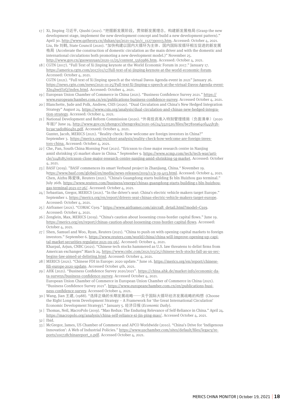- 17 | Xi, Jinping 习近平, Qiushi (2021). "把握新发展阶段,贯彻新发展理念,构建新发展格局 (Grasp the new development stage, implement the new development concept and build a new development pattern)." April 30. http://www.qstheory.cn/dukan/qs/2021-04/30/c\_1127390013.htm. Accessed: October 4, 2021. Liu, He 刘鹤, State Council (2020). "加快构建以国内大循环为主体、国内国际双循环相互促进的新发展 格局 (Accelerate the construction of domestic circulation as the main driver and with the domestic and international circulations both promoting a new development model.)" November 25. http://www.gov.cn/guowuyuan/2020-11/25/content\_5563986.htm. Accessed: October 4, 2021.
- 18 | CGTN (2017). "Full Text of Xi Jinping keynote at the World Economic Forum in 2017." January 17. https://america.cgtn.com/2017/01/17/full-text-of-xi-jinping-keynote-at-the-world-economic-forum. Accessed: October 4, 2021. CGTN (2021). "Full text of Xi Jinping speech at the virtual Davos Agenda event in 2021" January 26.

https://news.cgtn.com/news/2021-01-25/Full-text-Xi-Jinping-s-speech-at-the-virtual-Davos-Agenda-event-Xln4hwjO2Q/index.html. Accessed: October 4, 2021.

- 19 | European Union Chamber of Commerce in China (2021). "Business Confidence Survey 2021." https:// www.europeanchamber.com.cn/en/publications-business-confidence-survey. Accessed October 4, 2021.
- 20 | Blanchette, Jude and Polk, Andrew, CSIS (2020). "Dual Circulation and China's New Hedged Integration Strategy" August 24. https://www.csis.org/analysis/dual-circulation-and-chinas-new-hedged-integration-strategy. Accessed: October 4, 2021.
- 21 | National Development and Reform Commission (2020). "外商投资准入特别管理措施(负面清单)(2020 年版)" June 24. http://www.gov.cn/zhengce/zhengceku/2020-06/24/5521520/files/be781ea640f445b3bb13ac3ad08604b1.pdf. Accessed: October 4, 2021. Gunter, Jacob, MERICS (2021). "Reality check: How welcome are foreign investors in China?" September 3. https://merics.org/en/short-analysis/reality-check-how-welcome-are-foreign-inves-

tors-china. Accessed: October 4, 2021. 22 | Che, Pan, South China Morning Post (2021). "Ericsson to close major research centre in Nanjing

- amid shrinking 5G market share in China." September 9. https://www.scmp.com/tech/tech-war/article/3148185/ericsson-close-major-research-centre-nanjing-amid-shrinking-5g-market. Accessed: October 4, 2021.
- 23 | BASF (2019). "BASF commences its smart Verbund project in Zhanjiang, China." November 19. https://www.basf.com/global/en/media/news-releases/2019/11/p-19-403.html. Accessed: October 4, 2021. Chen, Aizhu 陈爱珠, Reuters (2021). "China's Guangdong starts building \$1 bln Huizhou gas terminal." July 26th. https://www.reuters.com/business/energy/chinas-guangdong-starts-building-1-bln-huizhougas-terminal-2021-07-26/. Accessed: October 4, 2021.
- 24 | Sebastian, Gregor, MERICS (2021). "In the driver's seat: China's electric vehicle makers target Europe." September 1. https://merics.org/en/report/drivers-seat-chinas-electric-vehicle-makers-target-europe. Accessed: October 4, 2021.
- 25 | Airframer (2021). "COMAC C919." https://www.airframer.com/aircraft\_detail.html?model=C919. Accessed: October 4, 2021.
- 26 | Zenglein, Max, MERICS (2019). "China's caution about loosening cross-border capital flows." June 19. https://merics.org/en/report/chinas-caution-about-loosening-cross-border-capital-flows. Accessed: October 4, 2021.
- 27 | Shen, Samuel and Woo, Ryan, Reuters (2021). "China to push on with opening capital markets to foreign investors." September 6. https://www.reuters.com/world/china/china-will-improve-opening-up-capital-market-securities-regulator-2021-09-06/. Accessed: October 4, 2021. Kharpal, Arjun, CNBC (2021). "Chinese tech stocks hammered as U.S. law threatens to delist firms from American exchanges" March 24. https://www.cnbc.com/2021/03/25/chinese-tech-stocks-fall-as-us-secbegins-law-aimed-at-delisting.html. Accessed: October 4, 2021.
- 28 | MERICS (2021). "Chinese FDI in Europe: 2020 update." June 16. https://merics.org/en/report/chinesefdi-europe-2020-update. Accessed October 4th, 2021.

29 | AHK (2021). "Business Confidence Survey 2020/2021". https://china.ahk.de/market-info/economic-data-surveys/business-confidence-survey. Accessed October 4, 2021. European Union Chamber of Commerce in European Union Chamber of Commerce in China (2021). "Business Confidence Survey 2021". https://www.europeanchamber.com.cn/en/publications-business-confidence-survey. Accessed October 4, 2021.

- 30 | Wang, Jian 王建, (1988). "选择正确的长期发展战略——关于国际大循环经济发展战略的构想 (Choose the Right Long-term Development Strategy – A Framework for 'the Great International Circulation' Economic Development Strategy)." January 5. 经济日报 (*Economic Daily*).
- 31 | Thomas, Neil, MacroPolo (2019). "Mao Redux: The Enduring Relevance of Self-Reliance in China." April 24. https://macropolo.org/analysis/china-self-reliance-xi-jin-ping-mao/. Accessed October 4, 2021.
- 32 | Ibid.
- 33 | McGregor, James, US Chamber of Commerce and APCO Worldwide (2010). "China's Drive for 'Indigenous Innovation': A Web of Industrial Policies." https://www.uschamber.com/sites/default/files/legacy/reports/100728chinareport\_0.pdf. Accessed October 4, 2021.